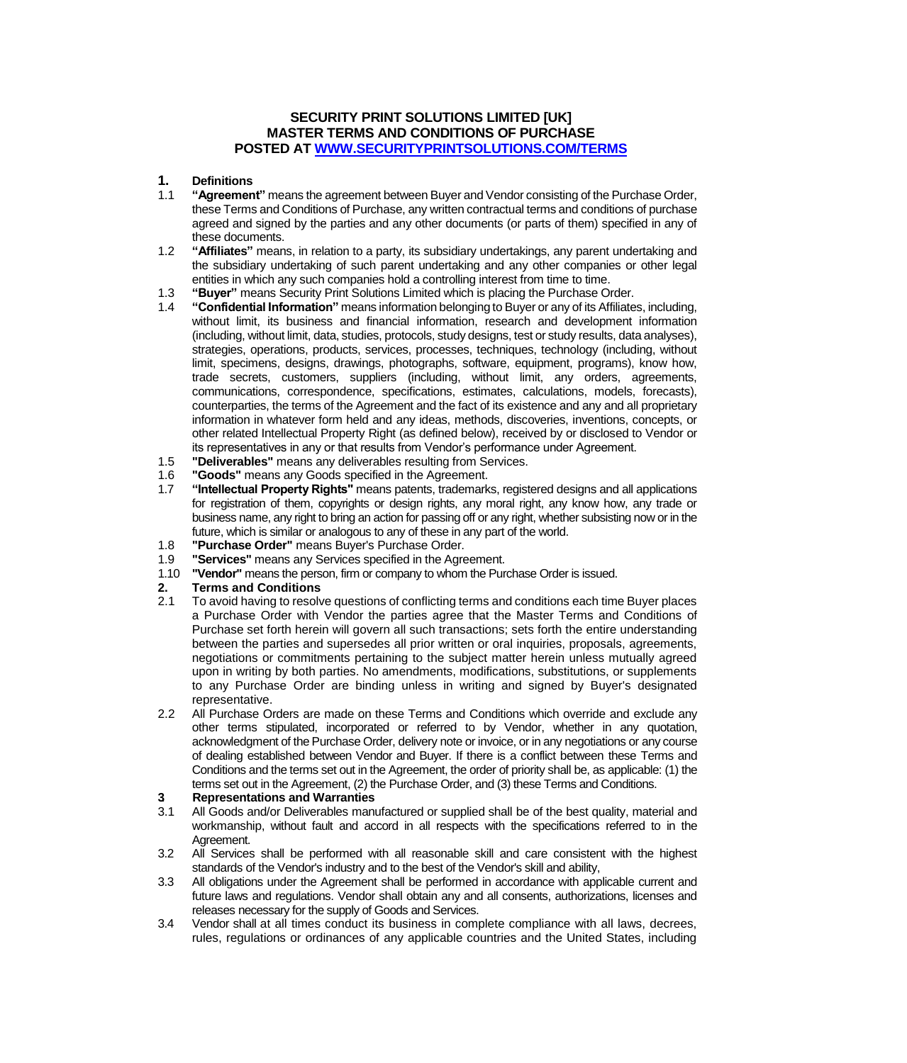### **SECURITY PRINT SOLUTIONS LIMITED [UK] MASTER TERMS AND CONDITIONS OF PURCHASE POSTED A[T WWW.SECURITYPRINTSOLUTIONS.COM/TERMS](http://www.securityprintsolutions.com/TERMS)**

# **1. Definitions**

- 1.1 **"Agreement"** means the agreement between Buyer and Vendor consisting of the Purchase Order, these Terms and Conditions of Purchase, any written contractual terms and conditions of purchase agreed and signed by the parties and any other documents (or parts of them) specified in any of these documents.
- 1.2 **"Affiliates"** means, in relation to a party, its subsidiary undertakings, any parent undertaking and the subsidiary undertaking of such parent undertaking and any other companies or other legal entities in which any such companies hold a controlling interest from time to time.
- 1.3 **"Buyer"** means Security Print Solutions Limited which is placing the Purchase Order.
- 1.4 **"Confidential Information"** means information belonging to Buyer or any of its Affiliates, including, without limit, its business and financial information, research and development information (including, without limit, data, studies, protocols, study designs, test or study results, data analyses), strategies, operations, products, services, processes, techniques, technology (including, without limit, specimens, designs, drawings, photographs, software, equipment, programs), know how, trade secrets, customers, suppliers (including, without limit, any orders, agreements, communications, correspondence, specifications, estimates, calculations, models, forecasts), counterparties, the terms of the Agreement and the fact of its existence and any and all proprietary information in whatever form held and any ideas, methods, discoveries, inventions, concepts, or other related Intellectual Property Right (as defined below), received by or disclosed to Vendor or its representatives in any or that results from Vendor's performance under Agreement.
- 1.5 **"Deliverables"** means any deliverables resulting from Services.
- 
- 1.6 **"Goods"** means any Goods specified in the Agreement. 1.7 **"Intellectual Property Rights"** means patents, trademarks, registered designs and all applications for registration of them, copyrights or design rights, any moral right, any know how, any trade or business name, any right to bring an action for passing off or any right, whether subsisting now or in the future, which is similar or analogous to any of these in any part of the world.
- 1.8 **"Purchase Order"** means Buyer's Purchase Order.
- "Services" means any Services specified in the Agreement.
- 1.10 **"Vendor"** means the person, firm or company to whom the Purchase Order is issued.

# **2. Terms and Conditions**<br>2.1 To avoid having to resolve

- 2.1 To avoid having to resolve questions of conflicting terms and conditions each time Buyer places a Purchase Order with Vendor the parties agree that the Master Terms and Conditions of Purchase set forth herein will govern all such transactions; sets forth the entire understanding between the parties and supersedes all prior written or oral inquiries, proposals, agreements, negotiations or commitments pertaining to the subject matter herein unless mutually agreed upon in writing by both parties. No amendments, modifications, substitutions, or supplements to any Purchase Order are binding unless in writing and signed by Buyer's designated representative.
- 2.2 All Purchase Orders are made on these Terms and Conditions which override and exclude any other terms stipulated, incorporated or referred to by Vendor, whether in any quotation, acknowledgment of the Purchase Order, delivery note or invoice, or in any negotiations or any course of dealing established between Vendor and Buyer. If there is a conflict between these Terms and Conditions and the terms set out in the Agreement, the order of priority shall be, as applicable: (1) the terms set out in the Agreement, (2) the Purchase Order, and (3) these Terms and Conditions.

#### **3. Representations and Warranties**

- 3.1 All Goods and/or Deliverables manufactured or supplied shall be of the best quality, material and workmanship, without fault and accord in all respects with the specifications referred to in the Agreement.
- 3.2 All Services shall be performed with all reasonable skill and care consistent with the highest standards of the Vendor's industry and to the best of the Vendor's skill and ability,
- 3.3 All obligations under the Agreement shall be performed in accordance with applicable current and future laws and regulations. Vendor shall obtain any and all consents, authorizations, licenses and releases necessary for the supply of Goods and Services.
- 3.4 Vendor shall at all times conduct its business in complete compliance with all laws, decrees, rules, regulations or ordinances of any applicable countries and the United States, including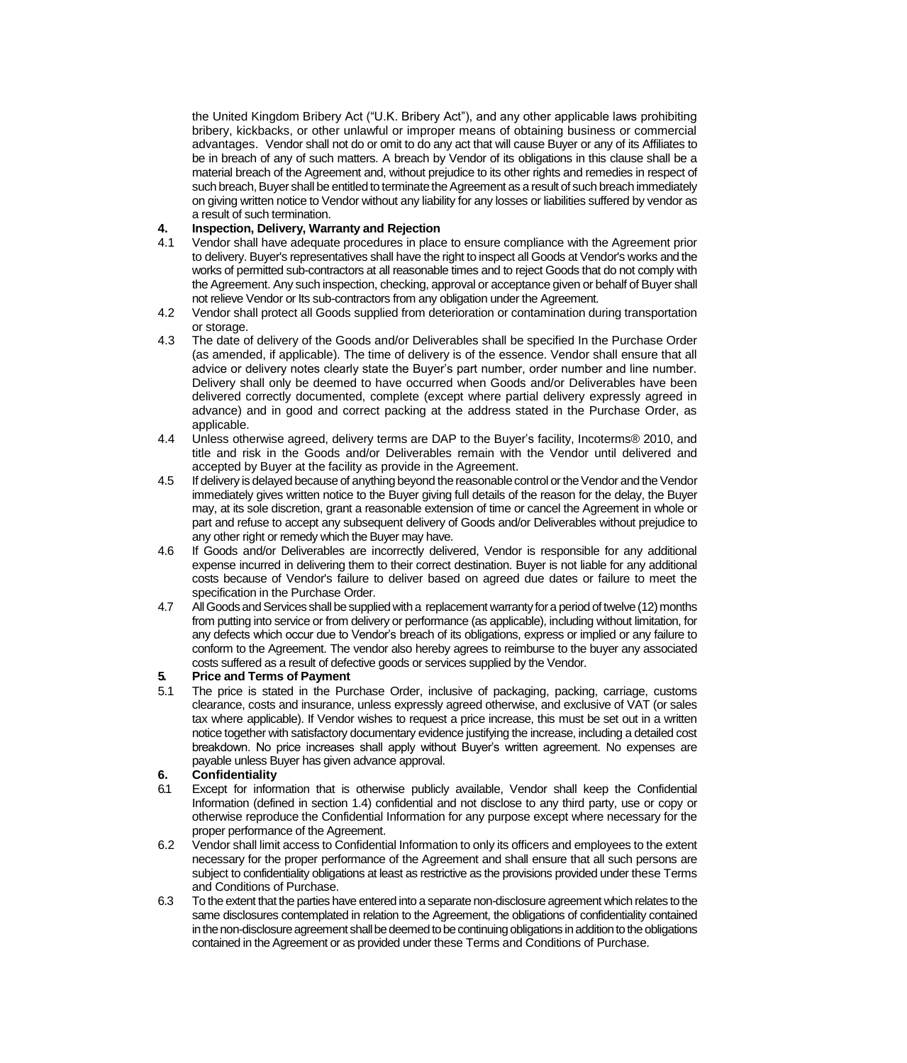the United Kingdom Bribery Act ("U.K. Bribery Act"), and any other applicable laws prohibiting bribery, kickbacks, or other unlawful or improper means of obtaining business or commercial advantages. Vendor shall not do or omit to do any act that will cause Buyer or any of its Affiliates to be in breach of any of such matters. A breach by Vendor of its obligations in this clause shall be a material breach of the Agreement and, without prejudice to its other rights and remedies in respect of such breach, Buyer shall be entitled to terminate the Agreement as a result of such breach immediately on giving written notice to Vendor without any liability for any losses or liabilities suffered by vendor as a result of such termination.

### **4. Inspection, Delivery, Warranty and Rejection**<br>4.1 Vendor shall have adequate procedures in place

- 4.1 Vendor shall have adequate procedures in place to ensure compliance with the Agreement prior to delivery. Buyer's representatives shall have the right to inspect all Goods at Vendor's works and the works of permitted sub-contractors at all reasonable times and to reject Goods that do not comply with the Agreement. Any such inspection, checking, approval or acceptance given or behalf of Buyer shall not relieve Vendor or Its sub-contractors from any obligation under the Agreement.
- 4.2 Vendor shall protect all Goods supplied from deterioration or contamination during transportation or storage.
- 4.3 The date of delivery of the Goods and/or Deliverables shall be specified In the Purchase Order (as amended, if applicable). The time of delivery is of the essence. Vendor shall ensure that all advice or delivery notes clearly state the Buyer's part number, order number and line number. Delivery shall only be deemed to have occurred when Goods and/or Deliverables have been delivered correctly documented, complete (except where partial delivery expressly agreed in advance) and in good and correct packing at the address stated in the Purchase Order, as applicable.
- 4.4 Unless otherwise agreed, delivery terms are DAP to the Buyer's facility, Incoterms® 2010, and title and risk in the Goods and/or Deliverables remain with the Vendor until delivered and accepted by Buyer at the facility as provide in the Agreement.
- 4.5 If delivery is delayed because of anything beyond the reasonable control or the Vendor and the Vendor immediately gives written notice to the Buyer giving full details of the reason for the delay, the Buyer may, at its sole discretion, grant a reasonable extension of time or cancel the Agreement in whole or part and refuse to accept any subsequent delivery of Goods and/or Deliverables without prejudice to any other right or remedy which the Buyer may have.
- 4.6 If Goods and/or Deliverables are incorrectly delivered, Vendor is responsible for any additional expense incurred in delivering them to their correct destination. Buyer is not liable for any additional costs because of Vendor's failure to deliver based on agreed due dates or failure to meet the specification in the Purchase Order.
- 4.7 All Goods and Services shall be supplied with a replacement warranty for a period of twelve (12) months from putting into service or from delivery or performance (as applicable), including without limitation, for any defects which occur due to Vendor's breach of its obligations, express or implied or any failure to conform to the Agreement. The vendor also hereby agrees to reimburse to the buyer any associated costs suffered as a result of defective goods or services supplied by the Vendor.

### **5. Price and Terms of Payment**

5.1 The price is stated in the Purchase Order, inclusive of packaging, packing, carriage, customs clearance, costs and insurance, unless expressly agreed otherwise, and exclusive of VAT (or sales tax where applicable). If Vendor wishes to request a price increase, this must be set out in a written notice together with satisfactory documentary evidence justifying the increase, including a detailed cost breakdown. No price increases shall apply without Buyer's written agreement. No expenses are payable unless Buyer has given advance approval.

### **6. Confidentiality**

- 6.1 Except for information that is otherwise publicly available, Vendor shall keep the Confidential Information (defined in section 1.4) confidential and not disclose to any third party, use or copy or otherwise reproduce the Confidential Information for any purpose except where necessary for the proper performance of the Agreement.
- 6.2 Vendor shall limit access to Confidential Information to only its officers and employees to the extent necessary for the proper performance of the Agreement and shall ensure that all such persons are subject to confidentiality obligations at least as restrictive as the provisions provided under these Terms and Conditions of Purchase.
- 6.3 To the extent that the parties have entered into a separate non-disclosure agreement which relates to the same disclosures contemplated in relation to the Agreement, the obligations of confidentiality contained in the non-disclosure agreement shall be deemed to be continuing obligations in addition to the obligations contained in the Agreement or as provided under these Terms and Conditions of Purchase.